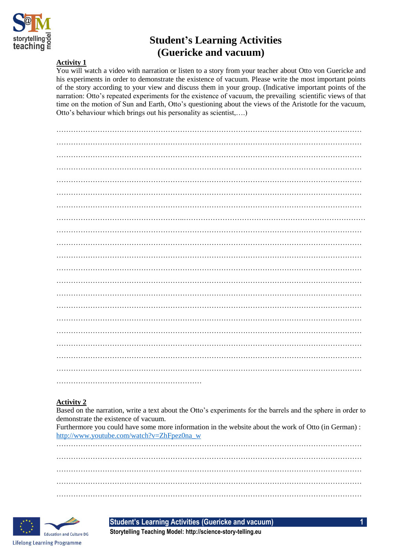

# **Student's Learning Activities (Guericke and vacuum)**

#### **Activity 1**

You will watch a video with narration or listen to a story from your teacher about Otto von Guericke and his experiments in order to demonstrate the existence of vacuum. Please write the most important points of the story according to your view and discuss them in your group. (Indicative important points of the narration: Otto's repeated experiments for the existence of vacuum, the prevailing scientific views of that time on the motion of Sun and Earth, Otto's questioning about the views of the Aristotle for the vacuum, Otto's behaviour which brings out his personality as scientist,….)

### **Activity 2**

Based on the narration, write a text about the Otto's experiments for the barrels and the sphere in order to demonstrate the existence of vacuum.

Furthermore you could have some more information in the website about the work of Otto (in German) : [http://www.youtube.com/watch?v=ZhFpez0na\\_w](http://www.youtube.com/watch?v=ZhFpez0na_w)

……………………………………………………………………………………………………………… ……………………………………………………………………………………………………………… ………………………………………………………………………………………………………………



**Student's Learning Activities (Guericke and vacuum) 1**

**Storytelling Teaching Model: http://science-story-telling.eu**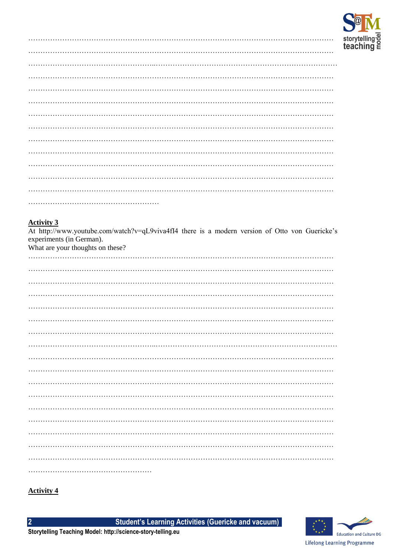

Activity 3<br>At http://www.youtube.com/watch?v=qL9viva4fI4 there is a modern version of Otto von Guericke's experiments (in German).

What are your thoughts on these?

# **Activity 4**

 $\overline{2}$ 

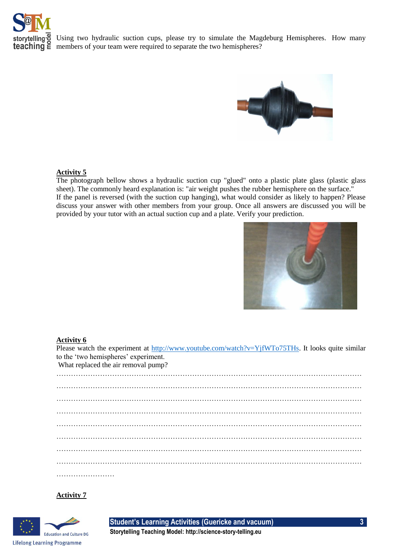

Using two hydraulic suction cups, please try to simulate the Magdeburg Hemispheres. How many **teaching**  $\boldsymbol{\Xi}$  members of your team were required to separate the two hemispheres?



#### **Activity 5**

The photograph bellow shows a hydraulic suction cup "glued" onto a plastic plate glass (plastic glass sheet). The commonly heard explanation is: "air weight pushes the rubber hemisphere on the surface." If the panel is reversed (with the suction cup hanging), what would consider as likely to happen? Please discuss your answer with other members from your group. Once all answers are discussed you will be provided by your tutor with an actual suction cup and a plate. Verify your prediction.



#### **Activity 6**

Please watch the experiment at [http://www.youtube.com/watch?v=YjfWTo75THs.](http://www.youtube.com/watch?v=YjfWTo75THs) It looks quite similar to the 'two hemispheres' experiment. What replaced the air removal pump? ……………………………………………………………………………………………………………… ……………………………………………………………………………………………………………… ………………………………………………………………………………………………………………

……………………………………………………………………………………………………………… ……………………………………………………………………………………………………………… ……………………………………………………………………………………………………………… ………………………………………………………………………………………………………………

………………………

### **Activity 7**



**Student's Learning Activities (Guericke and vacuum) 3**

**Storytelling Teaching Model: http://science-story-telling.eu**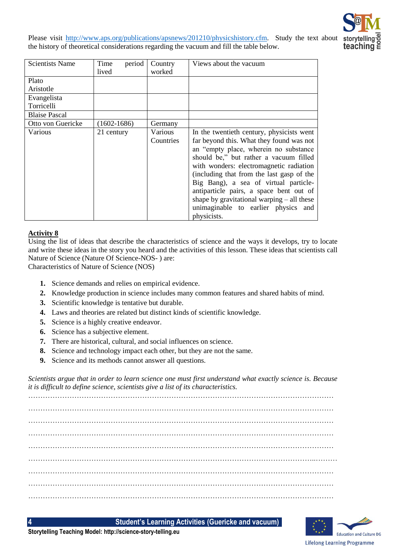Please visit [http://www.aps.org/publications/apsnews/201210/physicshistory.cfm.](http://www.aps.org/publications/apsnews/201210/physicshistory.cfm) Study the text about the history of theoretical considerations regarding the vacuum and fill the table below.



| <b>Scientists Name</b> | Time<br>period<br>lived | Country<br>worked    | Views about the vacuum                                                                                                                                                                                                                                                                                                                                                                                                                                     |
|------------------------|-------------------------|----------------------|------------------------------------------------------------------------------------------------------------------------------------------------------------------------------------------------------------------------------------------------------------------------------------------------------------------------------------------------------------------------------------------------------------------------------------------------------------|
| Plato                  |                         |                      |                                                                                                                                                                                                                                                                                                                                                                                                                                                            |
| Aristotle              |                         |                      |                                                                                                                                                                                                                                                                                                                                                                                                                                                            |
| Evangelista            |                         |                      |                                                                                                                                                                                                                                                                                                                                                                                                                                                            |
| Torricelli             |                         |                      |                                                                                                                                                                                                                                                                                                                                                                                                                                                            |
| <b>Blaise Pascal</b>   |                         |                      |                                                                                                                                                                                                                                                                                                                                                                                                                                                            |
| Otto von Guericke      | $(1602 - 1686)$         | Germany              |                                                                                                                                                                                                                                                                                                                                                                                                                                                            |
| Various                | 21 century              | Various<br>Countries | In the twentieth century, physicists went<br>far beyond this. What they found was not<br>an "empty place, wherein no substance<br>should be," but rather a vacuum filled<br>with wonders: electromagnetic radiation<br>(including that from the last gasp of the<br>Big Bang), a sea of virtual particle-<br>antiparticle pairs, a space bent out of<br>shape by gravitational warping $-$ all these<br>unimaginable to earlier physics and<br>physicists. |

# **Activity 8**

Using the list of ideas that describe the characteristics of science and the ways it develops, try to locate and write these ideas in the story you heard and the activities of this lesson. These ideas that scientists call Nature of Science (Nature Of Science-NOS- ) are:

Characteristics of Nature of Science (NOS)

- **1.** Science demands and relies on empirical evidence.
- **2.** Knowledge production in science includes many common features and shared habits of mind.
- **3.** Scientific knowledge is tentative but durable.
- **4.** Laws and theories are related but distinct kinds of scientific knowledge.
- **5.** Science is a highly creative endeavor.
- **6.** Science has a subjective element.
- **7.** There are historical, cultural, and social influences on science.
- **8.** Science and technology impact each other, but they are not the same.
- **9.** Science and its methods cannot answer all questions.

*Scientists argue that in order to learn science one must first understand what exactly science is. Because it is difficult to define science, scientists give a list of its characteristics.* 

……………………………………………………………………………………………………………… ……………………………………………………………………………………………………………… ……………………………………………………………………………………………………………… ……………………………………………………………………………………………………………… ………………………………………………………………………………………………………..……… ……………………………………………………………………………………………………………… ……………………………………………………………………………………………………………… ………………………………………………………………………………………………………………

**4 Student's Learning Activities (Guericke and vacuum)**